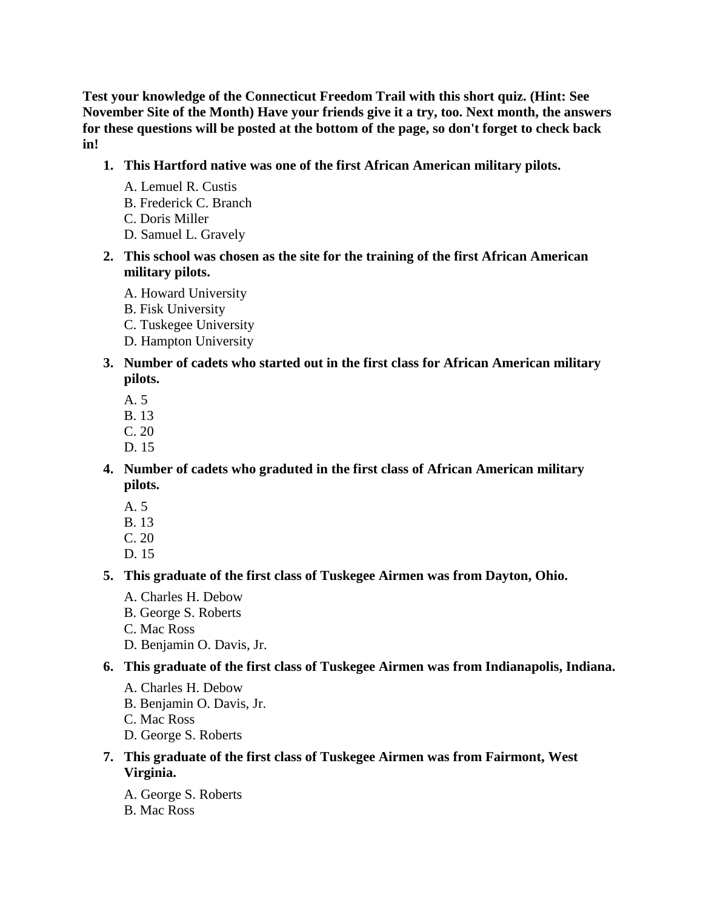**Test your knowledge of the Connecticut Freedom Trail with this short quiz. (Hint: See November Site of the Month) Have your friends give it a try, too. Next month, the answers for these questions will be posted at the bottom of the page, so don't forget to check back in!**

- **1. This Hartford native was one of the first African American military pilots.** 
	- A. Lemuel R. Custis
	- B. Frederick C. Branch
	- C. Doris Miller
	- D. Samuel L. Gravely
- **2. This school was chosen as the site for the training of the first African American military pilots.** 
	- A. Howard University
	- B. Fisk University
	- C. Tuskegee University
	- D. Hampton University
- **3. Number of cadets who started out in the first class for African American military pilots.** 
	- A. 5
	- B. 13
	- C. 20
	- D. 15
- **4. Number of cadets who graduted in the first class of African American military pilots.** 
	- A. 5
	- B. 13
	- C. 20
	- D. 15
- **5. This graduate of the first class of Tuskegee Airmen was from Dayton, Ohio.** 
	- A. Charles H. Debow
	- B. George S. Roberts
	- C. Mac Ross
	- D. Benjamin O. Davis, Jr.

# **6. This graduate of the first class of Tuskegee Airmen was from Indianapolis, Indiana.**

- A. Charles H. Debow
- B. Benjamin O. Davis, Jr.
- C. Mac Ross
- D. George S. Roberts
- **7. This graduate of the first class of Tuskegee Airmen was from Fairmont, West Virginia.** 
	- A. George S. Roberts
	- B. Mac Ross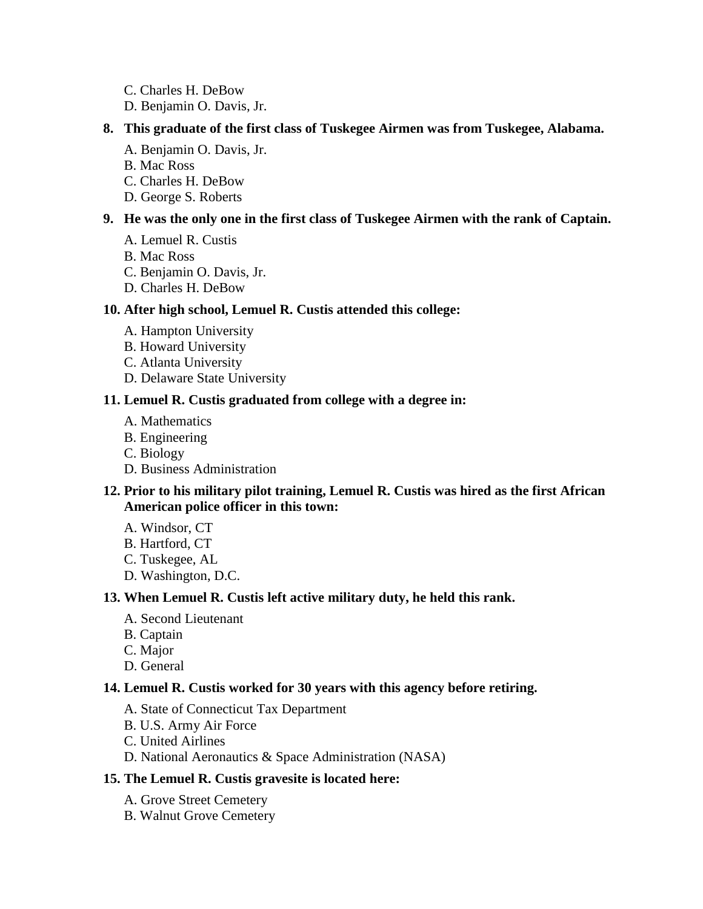- C. Charles H. DeBow
- D. Benjamin O. Davis, Jr.

#### **8. This graduate of the first class of Tuskegee Airmen was from Tuskegee, Alabama.**

- A. Benjamin O. Davis, Jr.
- B. Mac Ross
- C. Charles H. DeBow
- D. George S. Roberts

# **9. He was the only one in the first class of Tuskegee Airmen with the rank of Captain.**

- A. Lemuel R. Custis
- B. Mac Ross
- C. Benjamin O. Davis, Jr.
- D. Charles H. DeBow

## **10. After high school, Lemuel R. Custis attended this college:**

- A. Hampton University
- B. Howard University
- C. Atlanta University
- D. Delaware State University

## **11. Lemuel R. Custis graduated from college with a degree in:**

- A. Mathematics
- B. Engineering
- C. Biology
- D. Business Administration

## **12. Prior to his military pilot training, Lemuel R. Custis was hired as the first African American police officer in this town:**

- A. Windsor, CT
- B. Hartford, CT
- C. Tuskegee, AL
- D. Washington, D.C.

# **13. When Lemuel R. Custis left active military duty, he held this rank.**

- A. Second Lieutenant
- B. Captain
- C. Major
- D. General

#### **14. Lemuel R. Custis worked for 30 years with this agency before retiring.**

- A. State of Connecticut Tax Department
- B. U.S. Army Air Force
- C. United Airlines
- D. National Aeronautics & Space Administration (NASA)

#### **15. The Lemuel R. Custis gravesite is located here:**

- A. Grove Street Cemetery
- B. Walnut Grove Cemetery